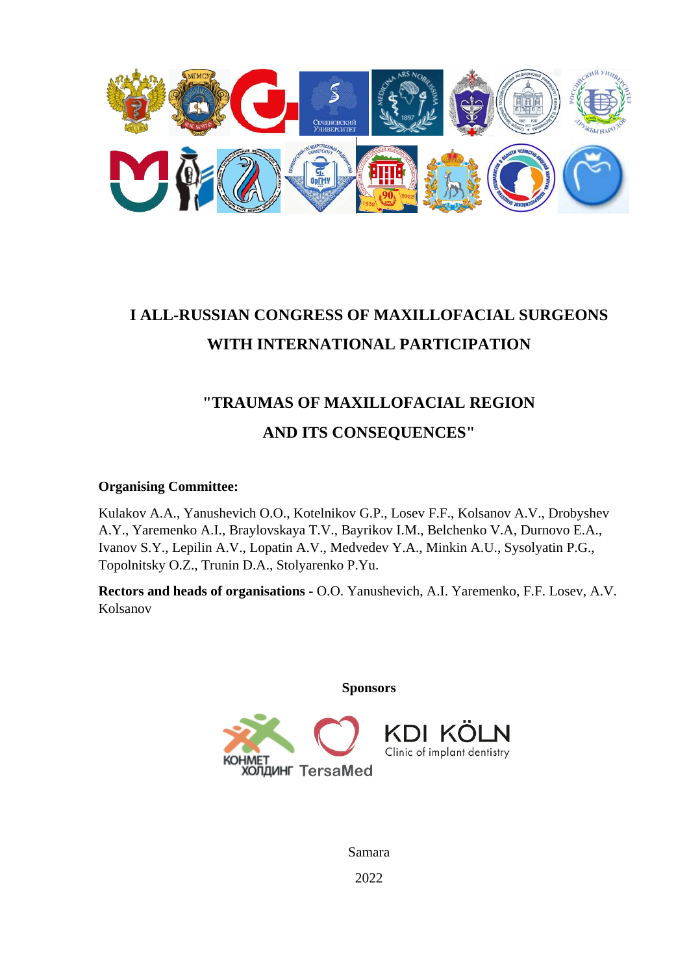

# **I ALL-RUSSIAN CONGRESS OF MAXILLOFACIAL SURGEONS WITH INTERNATIONAL PARTICIPATION**

# **"TRAUMAS OF MAXILLOFACIAL REGION AND ITS CONSEQUENCES"**

### **Organising Committee:**

Kulakov A.A., Yanushevich O.O., Kotelnikov G.P., Losev F.F., Kolsanov A.V., Drobyshev A.Y., Yaremenko A.I., Braylovskaya T.V., Bayrikov I.M., Belchenko V.A, Durnovo E.A., Ivanov S.Y., Lepilin A.V., Lopatin A.V., Medvedev Y.A., Minkin A.U., Sysolyatin P.G., Topolnitsky O.Z., Trunin D.A., Stolyarenko P.Yu.

**Rectors and heads of organisations -** O.O. Yanushevich, A.I. Yaremenko, F.F. Losev, A.V. Kolsanov

**Sponsors**



Samara 2022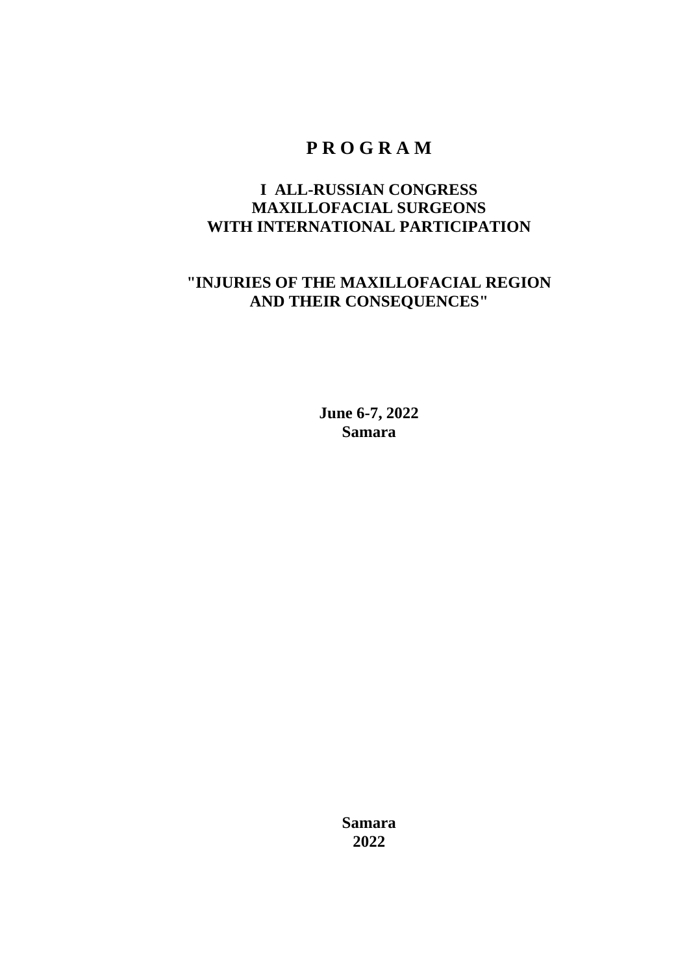# **P R O G R A M**

# **I ALL-RUSSIAN CONGRESS MAXILLOFACIAL SURGEONS WITH INTERNATIONAL PARTICIPATION**

# **"INJURIES OF THE MAXILLOFACIAL REGION AND THEIR CONSEQUENCES"**

**June 6-7, 2022 Samara**

> **Samara 2022**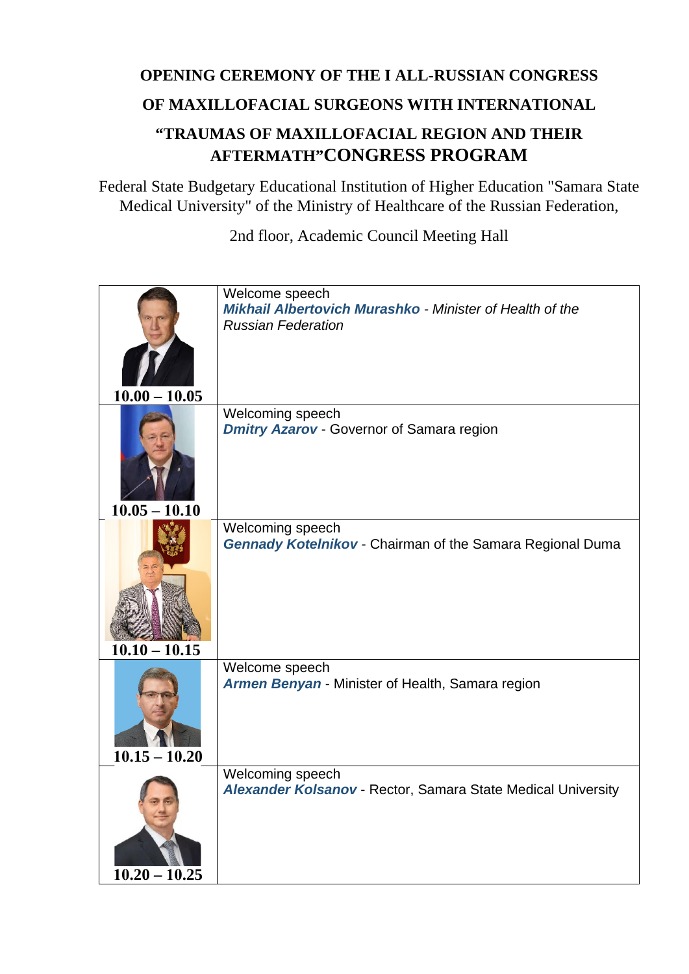# **OPENING CEREMONY OF THE I ALL-RUSSIAN CONGRESS OF MAXILLOFACIAL SURGEONS WITH INTERNATIONAL "TRAUMAS OF MAXILLOFACIAL REGION AND THEIR AFTERMATH"CONGRESS PROGRAM**

Federal State Budgetary Educational Institution of Higher Education "Samara State Medical University" of the Ministry of Healthcare of the Russian Federation,

2nd floor, Academic Council Meeting Hall

| $10.00 - 10.05$ | Welcome speech<br>Mikhail Albertovich Murashko - Minister of Health of the<br><b>Russian Federation</b> |
|-----------------|---------------------------------------------------------------------------------------------------------|
| $10.05 - 10.10$ | Welcoming speech<br><b>Dmitry Azarov - Governor of Samara region</b>                                    |
| $10.10 - 10.15$ | Welcoming speech<br><b>Gennady Kotelnikov - Chairman of the Samara Regional Duma</b>                    |
| $10.15 - 10.20$ | Welcome speech<br>Armen Benyan - Minister of Health, Samara region                                      |
| $10.20 - 10.25$ | Welcoming speech<br>Alexander Kolsanov - Rector, Samara State Medical University                        |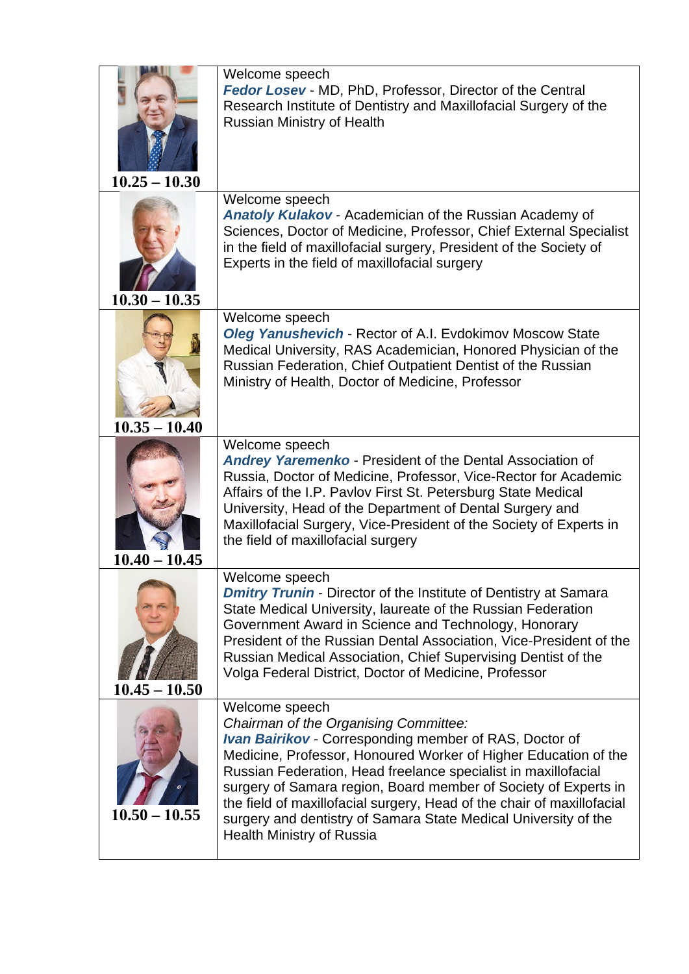| $10.25 - 10.30$ | Welcome speech<br>Fedor Losev - MD, PhD, Professor, Director of the Central<br>Research Institute of Dentistry and Maxillofacial Surgery of the<br>Russian Ministry of Health                                                                                                                                                                                                                                                                                                                              |
|-----------------|------------------------------------------------------------------------------------------------------------------------------------------------------------------------------------------------------------------------------------------------------------------------------------------------------------------------------------------------------------------------------------------------------------------------------------------------------------------------------------------------------------|
| $10.30 - 10.35$ | Welcome speech<br><b>Anatoly Kulakov - Academician of the Russian Academy of</b><br>Sciences, Doctor of Medicine, Professor, Chief External Specialist<br>in the field of maxillofacial surgery, President of the Society of<br>Experts in the field of maxillofacial surgery                                                                                                                                                                                                                              |
| $10.35 - 10.40$ | Welcome speech<br><b>Oleg Yanushevich - Rector of A.I. Evdokimov Moscow State</b><br>Medical University, RAS Academician, Honored Physician of the<br>Russian Federation, Chief Outpatient Dentist of the Russian<br>Ministry of Health, Doctor of Medicine, Professor                                                                                                                                                                                                                                     |
| $10.40 - 10.45$ | Welcome speech<br><b>Andrey Yaremenko - President of the Dental Association of</b><br>Russia, Doctor of Medicine, Professor, Vice-Rector for Academic<br>Affairs of the I.P. Pavlov First St. Petersburg State Medical<br>University, Head of the Department of Dental Surgery and<br>Maxillofacial Surgery, Vice-President of the Society of Experts in<br>the field of maxillofacial surgery                                                                                                             |
| $10.45 - 10.50$ | Welcome speech<br><b>Dmitry Trunin - Director of the Institute of Dentistry at Samara</b><br>State Medical University, laureate of the Russian Federation<br>Government Award in Science and Technology, Honorary<br>President of the Russian Dental Association, Vice-President of the<br>Russian Medical Association, Chief Supervising Dentist of the<br>Volga Federal District, Doctor of Medicine, Professor                                                                                          |
| $10.50 - 10.55$ | Welcome speech<br>Chairman of the Organising Committee:<br><b>Ivan Bairikov</b> - Corresponding member of RAS, Doctor of<br>Medicine, Professor, Honoured Worker of Higher Education of the<br>Russian Federation, Head freelance specialist in maxillofacial<br>surgery of Samara region, Board member of Society of Experts in<br>the field of maxillofacial surgery, Head of the chair of maxillofacial<br>surgery and dentistry of Samara State Medical University of the<br>Health Ministry of Russia |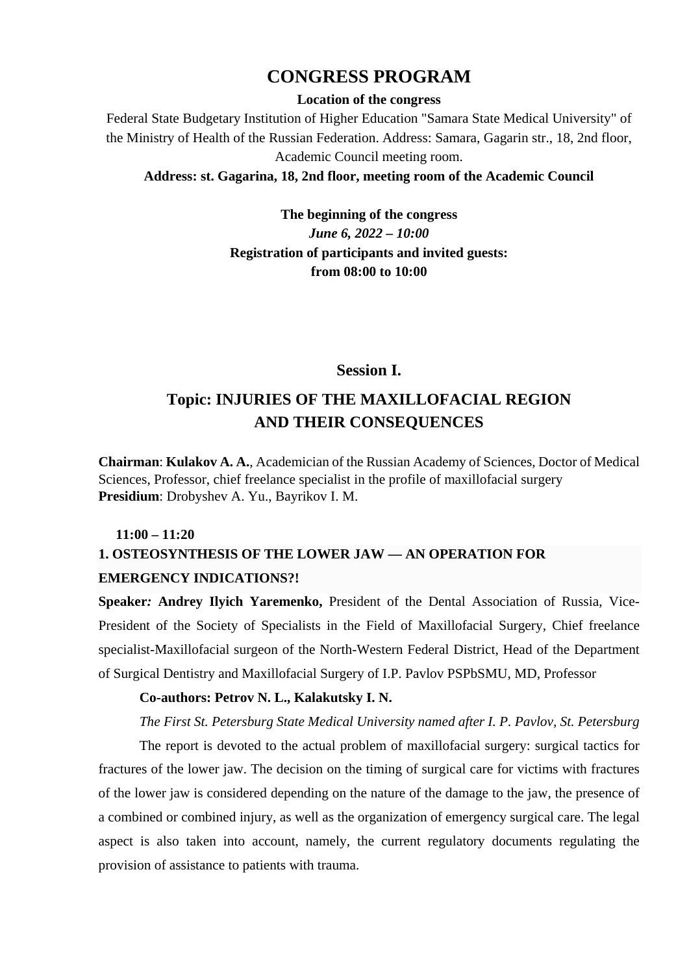# **CONGRESS PROGRAM**

#### **Location of the congress**

Federal State Budgetary Institution of Higher Education "Samara State Medical University" of the Ministry of Health of the Russian Federation. Address: Samara, Gagarin str., 18, 2nd floor, Academic Council meeting room.

#### **Address: st. Gagarina, 18, 2nd floor, meeting room of the Academic Council**

**The beginning of the congress** *June 6, 2022 – 10:00* **Registration of participants and invited guests: from 08:00 to 10:00**

#### **Session I.**

# **Topic: INJURIES OF THE MAXILLOFACIAL REGION AND THEIR CONSEQUENCES**

**Chairman**: **Kulakov A. A.**, Academician of the Russian Academy of Sciences, Doctor of Medical Sciences, Professor, chief freelance specialist in the profile of maxillofacial surgery **Presidium**: Drobyshev A. Yu., Bayrikov I. M.

#### **11:00 – 11:20**

# **1. OSTEOSYNTHESIS OF THE LOWER JAW — AN OPERATION FOR EMERGENCY INDICATIONS?[!](https://translate.google.ru/;)**

**Speaker***:* **Andrey Ilyich Yaremenko,** President of the Dental Association of Russia, Vice-President of the Society of Specialists in the Field of Maxillofacial Surgery, Chief freelance specialist-Maxillofacial surgeon of the North-Western Federal District, Head of the Department of Surgical Dentistry and Maxillofacial Surgery of I.P. Pavlov PSPbSMU, MD, Professor

#### **Co-authors: Petrov N. L., Kalakutsky I. N.**

*The First St. Petersburg State Medical University named after I. P. Pavlov, St. Petersburg*

The report is devoted to the actual problem of maxillofacial surgery: surgical tactics for fractures of the lower jaw. The decision on the timing of surgical care for victims with fractures of the lower jaw is considered depending on the nature of the damage to the jaw, the presence of a combined or combined injury, as well as the organization of emergency surgical care. The legal aspect is also taken into account, namely, the current regulatory documents regulating the provision of assistance to patients with trauma.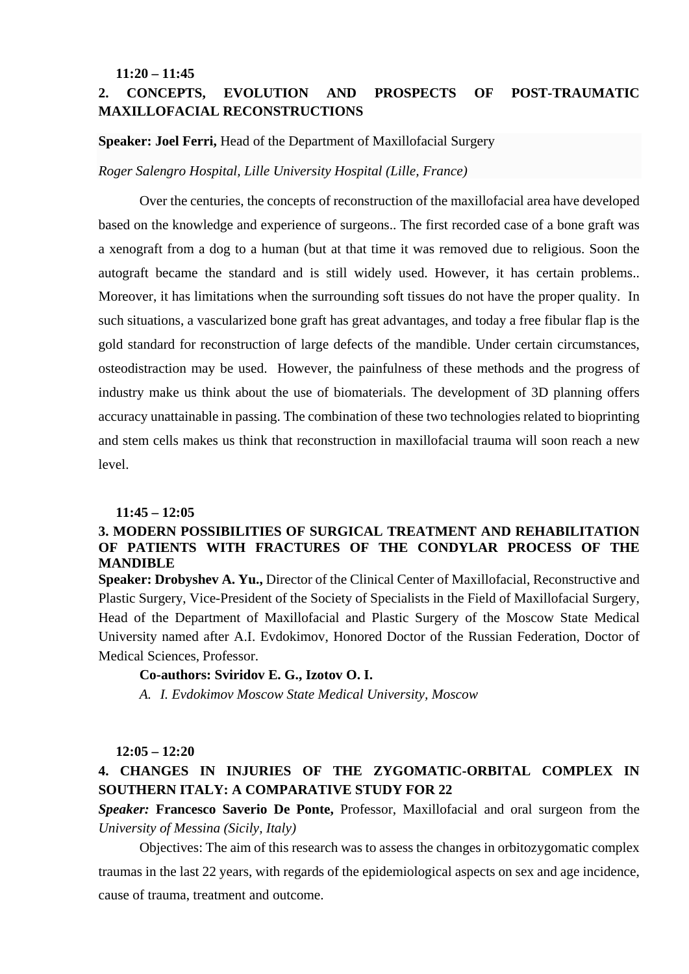#### **11:20 – 11:45**

### **2. CONCEPTS, EVOLUTION AND PROSPECTS OF POST-TRAUMATIC MAXILLOFACIAL RECONSTRUCTIONS**

#### **Speaker: Joel Ferri,** Head of the Department of Maxillofacial Surgery

#### *Roger Salengro Hospital, Lille University Hospital (Lille, France)*

Over the centuries, the concepts of reconstruction of the maxillofacial area have developed based on the knowledge and experience of surgeons.. The first recorded case of a bone graft was a xenograft from a dog to a human (but at that time it was removed due to religious. Soon the autograft became the standard and is still widely used. However, it has certain problems.. Moreover, it has limitations when the surrounding soft tissues do not have the proper quality. In such situations, a vascularized bone graft has great advantages, and today a free fibular flap is the gold standard for reconstruction of large defects of the mandible. Under certain circumstances, osteodistraction may be used. However, the painfulness of these methods and the progress of industry make us think about the use of biomaterials. The development of 3D planning offers accuracy unattainable in passing. The combination of these two technologies related to bioprinting and stem cells makes us think that reconstruction in maxillofacial trauma will soon reach a new level.

#### **11:45 – 12:05**

#### **3. MODERN POSSIBILITIES OF SURGICAL TREATMENT AND REHABILITATION OF PATIENTS WITH FRACTURES OF THE CONDYLAR PROCESS OF THE MANDIBLE**

**Speaker: Drobyshev A. Yu.,** Director of the Clinical Center of Maxillofacial, Reconstructive and Plastic Surgery, Vice-President of the Society of Specialists in the Field of Maxillofacial Surgery, Head of the Department of Maxillofacial and Plastic Surgery of the Moscow State Medical University named after A.I. Evdokimov, Honored Doctor of the Russian Federation, Doctor of Medical Sciences, Professor.

#### **Co-authors: Sviridov E. G., Izotov O. I.**

*A. I. Evdokimov Moscow State Medical University, Moscow*

#### **12:05 – 12:20**

### **4. CHANGES IN INJURIES OF THE ZYGOMATIC-ORBITAL COMPLEX IN SOUTHERN ITALY: A COMPARATIVE STUDY FOR 22**

*Speaker:* **Francesco Saverio De Ponte,** Professor, Maxillofacial and oral surgeon from the *University of Messina (Sicily, Italy)*

Objectives: The aim of this research was to assess the changes in orbitozygomatic complex traumas in the last 22 years, with regards of the epidemiological aspects on sex and age incidence, cause of trauma, treatment and outcome.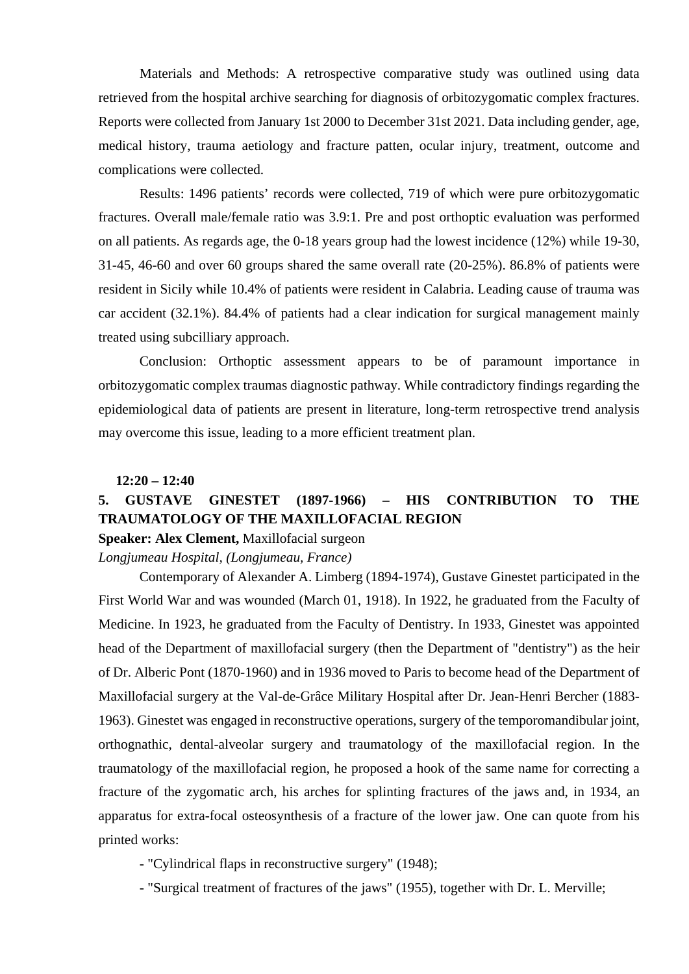Materials and Methods: A retrospective comparative study was outlined using data retrieved from the hospital archive searching for diagnosis of orbitozygomatic complex fractures. Reports were collected from January 1st 2000 to December 31st 2021. Data including gender, age, medical history, trauma aetiology and fracture patten, ocular injury, treatment, outcome and complications were collected.

Results: 1496 patients' records were collected, 719 of which were pure orbitozygomatic fractures. Overall male/female ratio was 3.9:1. Pre and post orthoptic evaluation was performed on all patients. As regards age, the 0-18 years group had the lowest incidence (12%) while 19-30, 31-45, 46-60 and over 60 groups shared the same overall rate (20-25%). 86.8% of patients were resident in Sicily while 10.4% of patients were resident in Calabria. Leading cause of trauma was car accident (32.1%). 84.4% of patients had a clear indication for surgical management mainly treated using subcilliary approach.

Conclusion: Orthoptic assessment appears to be of paramount importance in orbitozygomatic complex traumas diagnostic pathway. While contradictory findings regarding the epidemiological data of patients are present in literature, long-term retrospective trend analysis may overcome this issue, leading to a more efficient treatment plan.

#### **12:20 – 12:40**

### **5. GUSTAVE GINESTET (1897-1966) – HIS CONTRIBUTION TO THE TRAUMATOLOGY OF THE MAXILLOFACIAL REGION**

### **Speaker: Alex Clement,** Maxillofacial surgeon

#### *Longjumeau Hospital, (Longjumeau, France)*

Contemporary of Alexander A. Limberg (1894-1974), Gustave Ginestet participated in the First World War and was wounded (March 01, 1918). In 1922, he graduated from the Faculty of Medicine. In 1923, he graduated from the Faculty of Dentistry. In 1933, Ginestet was appointed head of the Department of maxillofacial surgery (then the Department of "dentistry") as the heir of Dr. Alberic Pont (1870-1960) and in 1936 moved to Paris to become head of the Department of Maxillofacial surgery at the Val-de-Grâce Military Hospital after Dr. Jean-Henri Bercher (1883- 1963). Ginestet was engaged in reconstructive operations, surgery of the temporomandibular joint, orthognathic, dental-alveolar surgery and traumatology of the maxillofacial region. In the traumatology of the maxillofacial region, he proposed a hook of the same name for correcting a fracture of the zygomatic arch, his arches for splinting fractures of the jaws and, in 1934, an apparatus for extra-focal osteosynthesis of a fracture of the lower jaw. One can quote from his printed works:

- "Cylindrical flaps in reconstructive surgery" (1948);

- "Surgical treatment of fractures of the jaws" (1955), together with Dr. L. Merville;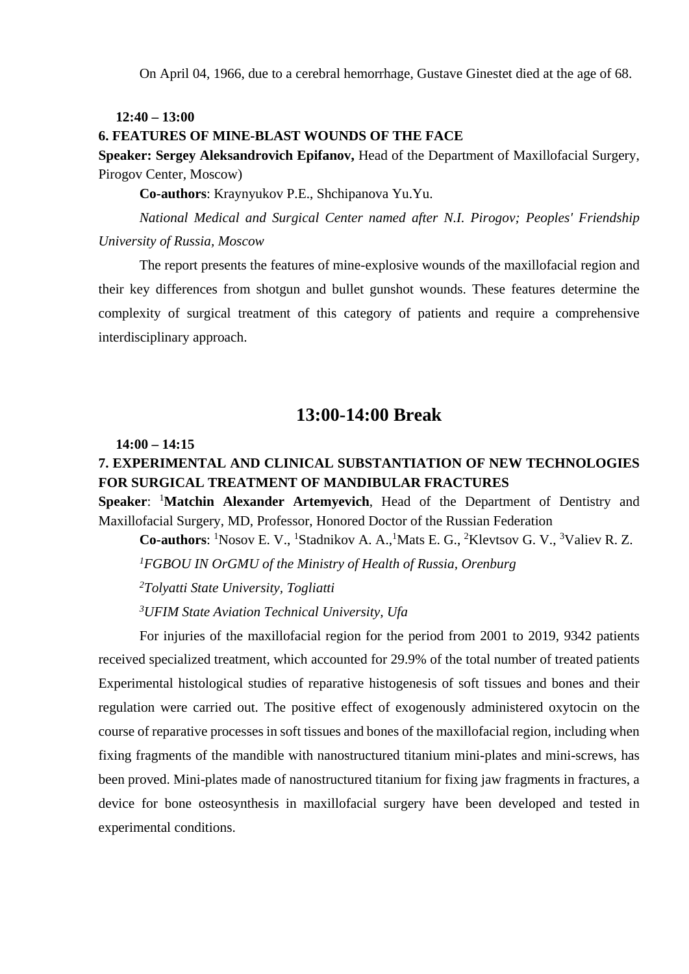On April 04, 1966, due to a cerebral hemorrhage, Gustave Ginestet died at the age of 68.

#### **12:40 – 13:00**

#### **6. FEATURES OF MINE-BLAST WOUNDS OF THE FACE**

**Speaker: Sergey Aleksandrovich Epifanov,** Head of the Department of Maxillofacial Surgery, Pirogov Center, Moscow)

**Co-authors**: Kraynyukov P.E., Shchipanova Yu.Yu.

*National Medical and Surgical Center named after N.I. Pirogov; Peoples' Friendship University of Russia, Moscow*

The report presents the features of mine-explosive wounds of the maxillofacial region and their key differences from shotgun and bullet gunshot wounds. These features determine the complexity of surgical treatment of this category of patients and require a comprehensive interdisciplinary approach.

# **13:00-14:00 Break**

#### **14:00 – 14:15**

# **7. EXPERIMENTAL AND CLINICAL SUBSTANTIATION OF NEW TECHNOLOGIES FOR SURGICAL TREATMENT OF MANDIBULAR FRACTURES**

**Speaker: <sup>1</sup>Matchin Alexander Artemyevich**, Head of the Department of Dentistry and Maxillofacial Surgery, MD, Professor, Honored Doctor of the Russian Federation

Co-authors: <sup>1</sup>Nosov E. V., <sup>1</sup>Stadnikov A. A., <sup>1</sup>Mats E. G., <sup>2</sup>Klevtsov G. V., <sup>3</sup>Valiev R. Z. *FGBOU IN OrGMU of the Ministry of Health of Russia, Orenburg Tolyatti State University, Togliatti UFIM State Aviation Technical University, Ufa*

For injuries of the maxillofacial region for the period from 2001 to 2019, 9342 patients received specialized treatment, which accounted for 29.9% of the total number of treated patients Experimental histological studies of reparative histogenesis of soft tissues and bones and their regulation were carried out. The positive effect of exogenously administered oxytocin on the course of reparative processes in soft tissues and bones of the maxillofacial region, including when fixing fragments of the mandible with nanostructured titanium mini-plates and mini-screws, has been proved. Mini-plates made of nanostructured titanium for fixing jaw fragments in fractures, a device for bone osteosynthesis in maxillofacial surgery have been developed and tested in experimental conditions.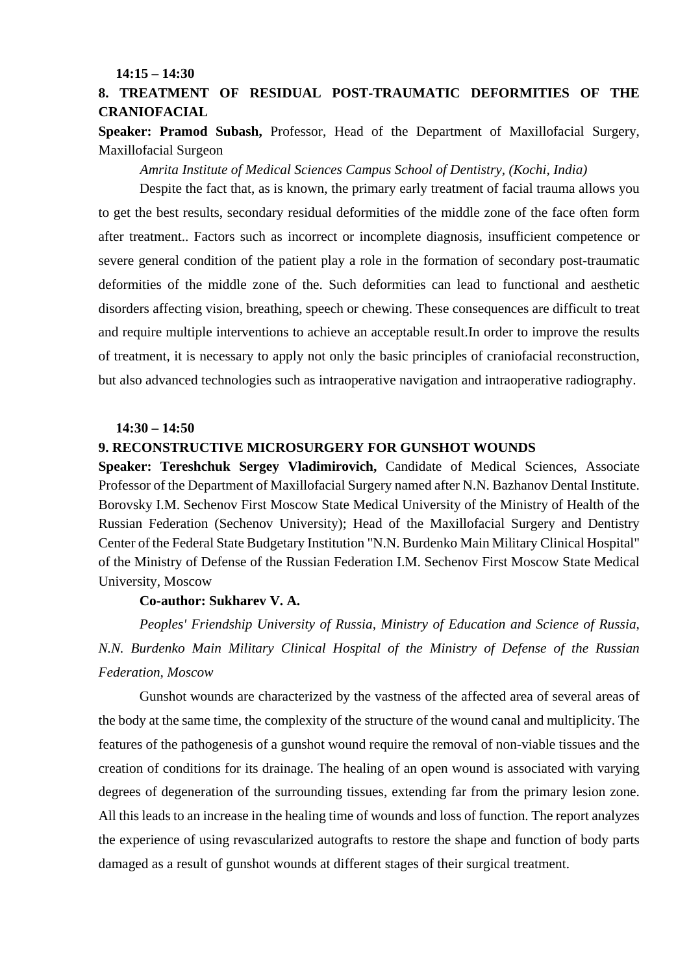**14:15 – 14:30**

### **8. TREATMENT OF RESIDUAL POST-TRAUMATIC DEFORMITIES OF THE CRANIOFACIAL**

**Speaker: Pramod Subash,** Professor, Head of the Department of Maxillofacial Surgery, Maxillofacial Surgeon

 *Amrita Institute of Medical Sciences Campus School of Dentistry, (Kochi, India)*

Despite the fact that, as is known, the primary early treatment of facial trauma allows you to get the best results, secondary residual deformities of the middle zone of the face often form after treatment.. Factors such as incorrect or incomplete diagnosis, insufficient competence or severe general condition of the patient play a role in the formation of secondary post-traumatic deformities of the middle zone of the. Such deformities can lead to functional and aesthetic disorders affecting vision, breathing, speech or chewing. These consequences are difficult to treat and require multiple interventions to achieve an acceptable result.In order to improve the results of treatment, it is necessary to apply not only the basic principles of craniofacial reconstruction, but also advanced technologies such as intraoperative navigation and intraoperative radiography.

#### **14:30 – 14:50**

#### **9. RECONSTRUCTIVE MICROSURGERY FOR GUNSHOT WOUNDS**

**Speaker: Tereshchuk Sergey Vladimirovich,** Candidate of Medical Sciences, Associate Professor of the Department of Maxillofacial Surgery named after N.N. Bazhanov Dental Institute. Borovsky I.M. Sechenov First Moscow State Medical University of the Ministry of Health of the Russian Federation (Sechenov University); Head of the Maxillofacial Surgery and Dentistry Center of the Federal State Budgetary Institution "N.N. Burdenko Main Military Clinical Hospital" of the Ministry of Defense of the Russian Federation I.M. Sechenov First Moscow State Medical University, Moscow

#### **Co-author: Sukharev V. A.**

*Peoples' Friendship University of Russia, Ministry of Education and Science of Russia, N.N. Burdenko Main Military Clinical Hospital of the Ministry of Defense of the Russian Federation, Moscow*

Gunshot wounds are characterized by the vastness of the affected area of several areas of the body at the same time, the complexity of the structure of the wound canal and multiplicity. The features of the pathogenesis of a gunshot wound require the removal of non-viable tissues and the creation of conditions for its drainage. The healing of an open wound is associated with varying degrees of degeneration of the surrounding tissues, extending far from the primary lesion zone. All this leads to an increase in the healing time of wounds and loss of function. The report analyzes the experience of using revascularized autografts to restore the shape and function of body parts damaged as a result of gunshot wounds at different stages of their surgical treatment.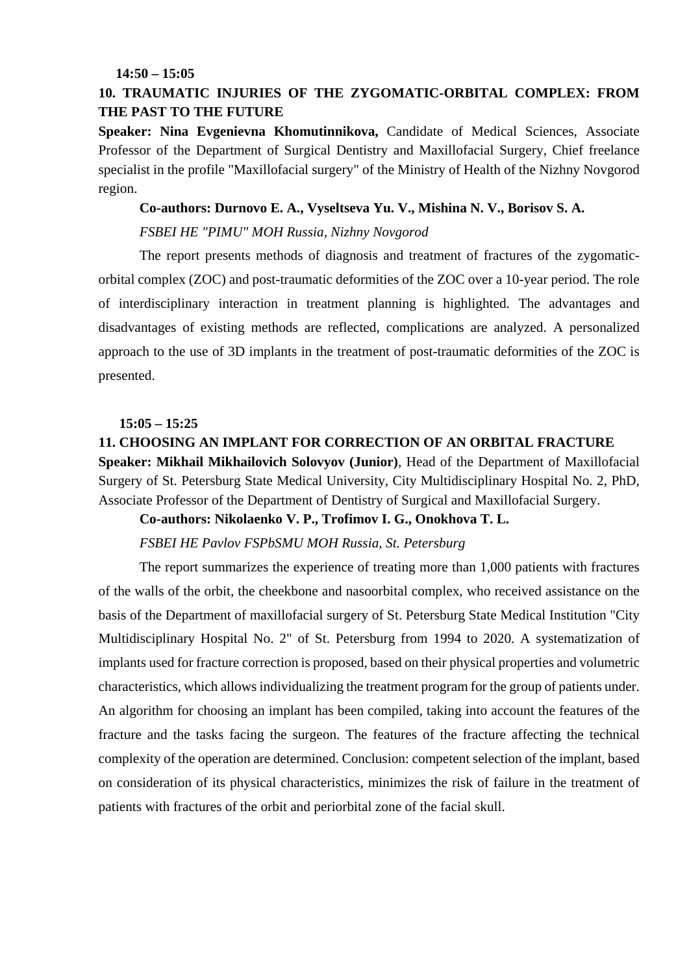#### **14:50 – 15:05**

### **10. TRAUMATIC INJURIES OF THE ZYGOMATIC-ORBITAL COMPLEX: FROM THE PAST TO THE FUTURE**

**Speaker: Nina Evgenievna Khomutinnikova,** Candidate of Medical Sciences, Associate Professor of the Department of Surgical Dentistry and Maxillofacial Surgery, Chief freelance specialist in the profile "Maxillofacial surgery" of the Ministry of Health of the Nizhny Novgorod region.

#### **Co-authors: Durnovo E. A., Vyseltseva Yu. V., Mishina N. V., Borisov S. A.**

#### *FSBEI HE "PIMU" MOH Russia, Nizhny Novgorod*

The report presents methods of diagnosis and treatment of fractures of the zygomaticorbital complex (ZOC) and post-traumatic deformities of the ZOC over a 10-year period. The role of interdisciplinary interaction in treatment planning is highlighted. The advantages and disadvantages of existing methods are reflected, complications are analyzed. A personalized approach to the use of 3D implants in the treatment of post-traumatic deformities of the ZOC is presented.

#### **15:05 – 15:25**

# **11. CHOOSING AN IMPLANT FOR CORRECTION OF AN ORBITAL FRACTURE Speaker: Mikhail Mikhailovich Solovyov (Junior)**, Head of the Department of Maxillofacial Surgery of St. Petersburg State Medical University, City Multidisciplinary Hospital No. 2, PhD, Associate Professor of the Department of Dentistry of Surgical and Maxillofacial Surgery.

#### **Co-authors: Nikolaenko V. P., Trofimov I. G., Onokhova T. L.**

#### *FSBEI HE Pavlov FSPbSMU MOH Russia, St. Petersburg*

The report summarizes the experience of treating more than 1,000 patients with fractures of the walls of the orbit, the cheekbone and nasoorbital complex, who received assistance on the basis of the Department of maxillofacial surgery of St. Petersburg State Medical Institution "City Multidisciplinary Hospital No. 2" of St. Petersburg from 1994 to 2020. A systematization of implants used for fracture correction is proposed, based on their physical properties and volumetric characteristics, which allows individualizing the treatment program for the group of patients under. An algorithm for choosing an implant has been compiled, taking into account the features of the fracture and the tasks facing the surgeon. The features of the fracture affecting the technical complexity of the operation are determined. Conclusion: competent selection of the implant, based on consideration of its physical characteristics, minimizes the risk of failure in the treatment of patients with fractures of the orbit and periorbital zone of the facial skull.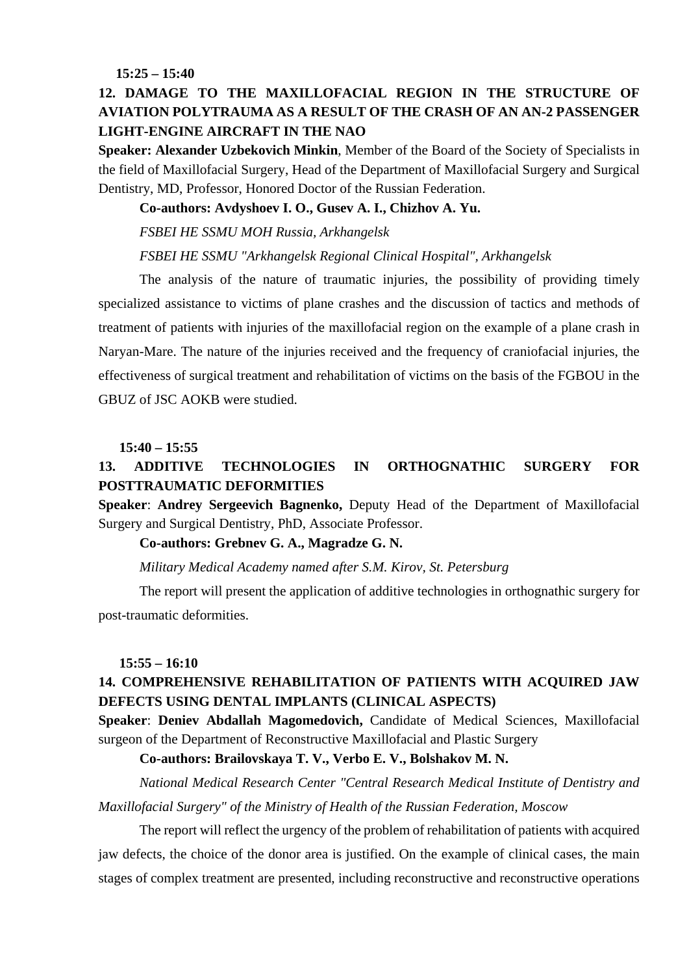**15:25 – 15:40**

### **12. DAMAGE TO THE MAXILLOFACIAL REGION IN THE STRUCTURE OF AVIATION POLYTRAUMA AS A RESULT OF THE CRASH OF AN AN-2 PASSENGER LIGHT-ENGINE AIRCRAFT IN THE NAO**

**Speaker: Alexander Uzbekovich Minkin**, Member of the Board of the Society of Specialists in the field of Maxillofacial Surgery, Head of the Department of Maxillofacial Surgery and Surgical Dentistry, MD, Professor, Honored Doctor of the Russian Federation.

#### **Co-authors: Avdyshoev I. O., Gusev A. I., Chizhov A. Yu.**

*FSBEI HE SSMU MOH Russia, Arkhangelsk*

#### *FSBEI HE SSMU "Arkhangelsk Regional Clinical Hospital", Arkhangelsk*

The analysis of the nature of traumatic injuries, the possibility of providing timely specialized assistance to victims of plane crashes and the discussion of tactics and methods of treatment of patients with injuries of the maxillofacial region on the example of a plane crash in Naryan-Mare. The nature of the injuries received and the frequency of craniofacial injuries, the effectiveness of surgical treatment and rehabilitation of victims on the basis of the FGBOU in the GBUZ of JSC AOKB were studied.

#### **15:40 – 15:55**

### **13. ADDITIVE TECHNOLOGIES IN ORTHOGNATHIC SURGERY FOR POSTTRAUMATIC DEFORMITIES**

**Speaker**: **Andrey Sergeevich Bagnenko,** Deputy Head of the Department of Maxillofacial Surgery and Surgical Dentistry, PhD, Associate Professor.

#### **Co-authors: Grebnev G. A., Magradze G. N.**

*Military Medical Academy named after S.M. Kirov, St. Petersburg*

The report will present the application of additive technologies in orthognathic surgery for post-traumatic deformities.

#### **15:55 – 16:10**

### **14. COMPREHENSIVE REHABILITATION OF PATIENTS WITH ACQUIRED JAW DEFECTS USING DENTAL IMPLANTS (CLINICAL ASPECTS)**

**Speaker**: **Deniev Abdallah Magomedovich,** Candidate of Medical Sciences, Maxillofacial surgeon of the Department of Reconstructive Maxillofacial and Plastic Surgery

#### **Co-authors: Brailovskaya T. V., Verbo E. V., Bolshakov M. N.**

*National Medical Research Center "Central Research Medical Institute of Dentistry and Maxillofacial Surgery" of the Ministry of Health of the Russian Federation, Moscow*

The report will reflect the urgency of the problem of rehabilitation of patients with acquired jaw defects, the choice of the donor area is justified. On the example of clinical cases, the main stages of complex treatment are presented, including reconstructive and reconstructive operations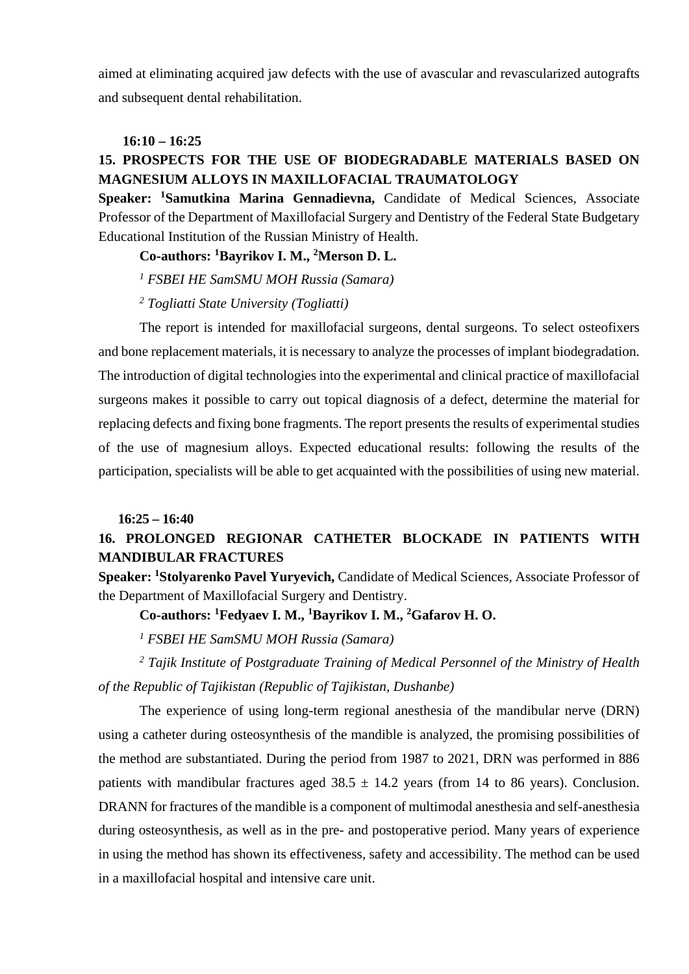aimed at eliminating acquired jaw defects with the use of avascular and revascularized autografts and subsequent dental rehabilitation.

#### **16:10 – 16:25**

## **15. PROSPECTS FOR THE USE OF BIODEGRADABLE MATERIALS BASED ON MAGNESIUM ALLOYS IN MAXILLOFACIAL TRAUMATOLOGY**

**Speaker: <sup>1</sup> Samutkina Marina Gennadievna,** Candidate of Medical Sciences, Associate Professor of the Department of Maxillofacial Surgery and Dentistry of the Federal State Budgetary Educational Institution of the Russian Ministry of Health.

**Co-authors: 1 Bayrikov I. M., 2 Merson D. L.**

*<sup>1</sup> FSBEI HE SamSMU MOH Russia (Samara)* 

*<sup>2</sup> Togliatti State University (Togliatti)*

The report is intended for maxillofacial surgeons, dental surgeons. To select osteofixers and bone replacement materials, it is necessary to analyze the processes of implant biodegradation. The introduction of digital technologies into the experimental and clinical practice of maxillofacial surgeons makes it possible to carry out topical diagnosis of a defect, determine the material for replacing defects and fixing bone fragments. The report presents the results of experimental studies of the use of magnesium alloys. Expected educational results: following the results of the participation, specialists will be able to get acquainted with the possibilities of using new material.

#### **16:25 – 16:40**

### **16. PROLONGED REGIONAR CATHETER BLOCKADE IN PATIENTS WITH MANDIBULAR FRACTURES**

**Speaker: 1 Stolyarenko Pavel Yuryevich,** Candidate of Medical Sciences, Associate Professor of the Department of Maxillofacial Surgery and Dentistry.

**Co-authors: 1 Fedyaev I. M., 1 Bayrikov I. M., 2 Gafarov H. O.**

*<sup>1</sup> FSBEI HE SamSMU MOH Russia (Samara)*

*<sup>2</sup> Tajik Institute of Postgraduate Training of Medical Personnel of the Ministry of Health of the Republic of Tajikistan (Republic of Tajikistan, Dushanbe)*

The experience of using long-term regional anesthesia of the mandibular nerve (DRN) using a catheter during osteosynthesis of the mandible is analyzed, the promising possibilities of the method are substantiated. During the period from 1987 to 2021, DRN was performed in 886 patients with mandibular fractures aged  $38.5 \pm 14.2$  years (from 14 to 86 years). Conclusion. DRANN for fractures of the mandible is a component of multimodal anesthesia and self-anesthesia during osteosynthesis, as well as in the pre- and postoperative period. Many years of experience in using the method has shown its effectiveness, safety and accessibility. The method can be used in a maxillofacial hospital and intensive care unit.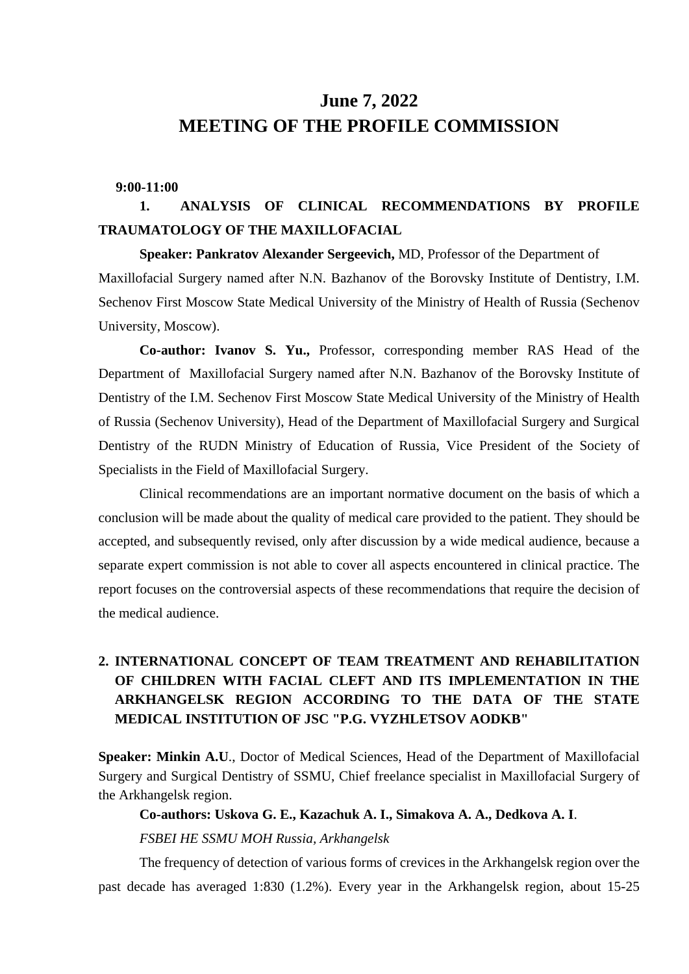# **June 7, 2022 MEETING OF THE PROFILE COMMISSION**

#### **9:00-11:00**

# **1. ANALYSIS OF CLINICAL RECOMMENDATIONS BY PROFILE TRAUMATOLOGY OF THE MAXILLOFACIAL**

**Speaker: Pankratov Alexander Sergeevich,** MD, Professor of the Department of Maxillofacial Surgery named after N.N. Bazhanov of the Borovsky Institute of Dentistry, I.M. Sechenov First Moscow State Medical University of the Ministry of Health of Russia (Sechenov University, Moscow).

**Co-author: Ivanov S. Yu.,** Professor, corresponding member RAS Head of the Department of Maxillofacial Surgery named after N.N. Bazhanov of the Borovsky Institute of Dentistry of the I.M. Sechenov First Moscow State Medical University of the Ministry of Health of Russia (Sechenov University), Head of the Department of Maxillofacial Surgery and Surgical Dentistry of the RUDN Ministry of Education of Russia, Vice President of the Society of Specialists in the Field of Maxillofacial Surgery.

Clinical recommendations are an important normative document on the basis of which a conclusion will be made about the quality of medical care provided to the patient. They should be accepted, and subsequently revised, only after discussion by a wide medical audience, because a separate expert commission is not able to cover all aspects encountered in clinical practice. The report focuses on the controversial aspects of these recommendations that require the decision of the medical audience.

## **2. INTERNATIONAL CONCEPT OF TEAM TREATMENT AND REHABILITATION OF CHILDREN WITH FACIAL CLEFT AND ITS IMPLEMENTATION IN THE ARKHANGELSK REGION ACCORDING TO THE DATA OF THE STATE MEDICAL INSTITUTION OF JSC "P.G. VYZHLETSOV AODKB"**

**Speaker: Minkin A.U**., Doctor of Medical Sciences, Head of the Department of Maxillofacial Surgery and Surgical Dentistry of SSMU, Chief freelance specialist in Maxillofacial Surgery of the Arkhangelsk region.

**Co-authors: Uskova G. E., Kazachuk A. I., Simakova A. A., Dedkova A. I**.

*FSBEI HE SSMU MOH Russia, Arkhangelsk*

The frequency of detection of various forms of crevices in the Arkhangelsk region over the past decade has averaged 1:830 (1.2%). Every year in the Arkhangelsk region, about 15-25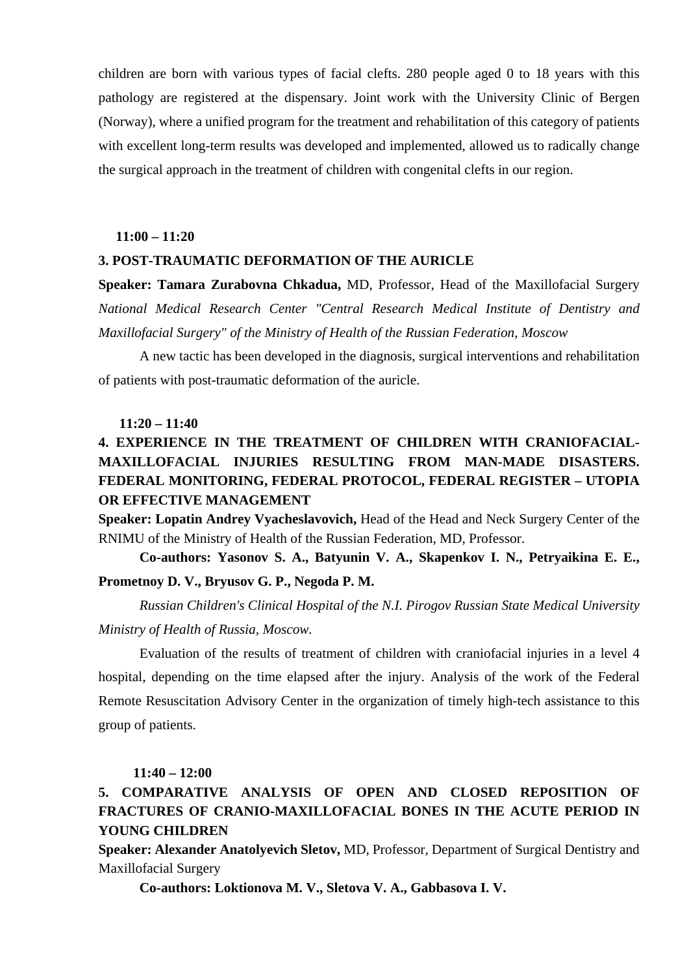children are born with various types of facial clefts. 280 people aged 0 to 18 years with this pathology are registered at the dispensary. Joint work with the University Clinic of Bergen (Norway), where a unified program for the treatment and rehabilitation of this category of patients with excellent long-term results was developed and implemented, allowed us to radically change the surgical approach in the treatment of children with congenital clefts in our region.

#### **11:00 – 11:20**

#### **3. POST-TRAUMATIC DEFORMATION OF THE AURICLE**

**Speaker: Tamara Zurabovna Chkadua,** MD, Professor, Head of the Maxillofacial Surgery *National Medical Research Center "Central Research Medical Institute of Dentistry and Maxillofacial Surgery" of the Ministry of Health of the Russian Federation, Moscow*

A new tactic has been developed in the diagnosis, surgical interventions and rehabilitation of patients with post-traumatic deformation of the auricle.

#### **11:20 – 11:40**

## **4. EXPERIENCE IN THE TREATMENT OF CHILDREN WITH CRANIOFACIAL-MAXILLOFACIAL INJURIES RESULTING FROM MAN-MADE DISASTERS. FEDERAL MONITORING, FEDERAL PROTOCOL, FEDERAL REGISTER – UTOPIA OR EFFECTIVE MANAGEMENT**

**Speaker: Lopatin Andrey Vyacheslavovich,** Head of the Head and Neck Surgery Center of the RNIMU of the Ministry of Health of the Russian Federation, MD, Professor.

**Co-authors: Yasonov S. A., Batyunin V. A., Skapenkov I. N., Petryaikina E. E., Prometnoy D. V., Bryusov G. P., Negoda P. M.**

*Russian Children's Clinical Hospital of the N.I. Pirogov Russian State Medical University Ministry of Health of Russia, Moscow.*

Evaluation of the results of treatment of children with craniofacial injuries in a level 4 hospital, depending on the time elapsed after the injury. Analysis of the work of the Federal Remote Resuscitation Advisory Center in the organization of timely high-tech assistance to this group of patients.

#### **11:40 – 12:00**

# **5. COMPARATIVE ANALYSIS OF OPEN AND CLOSED REPOSITION OF FRACTURES OF CRANIO-MAXILLOFACIAL BONES IN THE ACUTE PERIOD IN YOUNG CHILDREN**

**Speaker: Alexander Anatolyevich Sletov,** MD, Professor, Department of Surgical Dentistry and Maxillofacial Surgery

**Co-authors: Loktionova M. V., Sletova V. A., Gabbasova I. V.**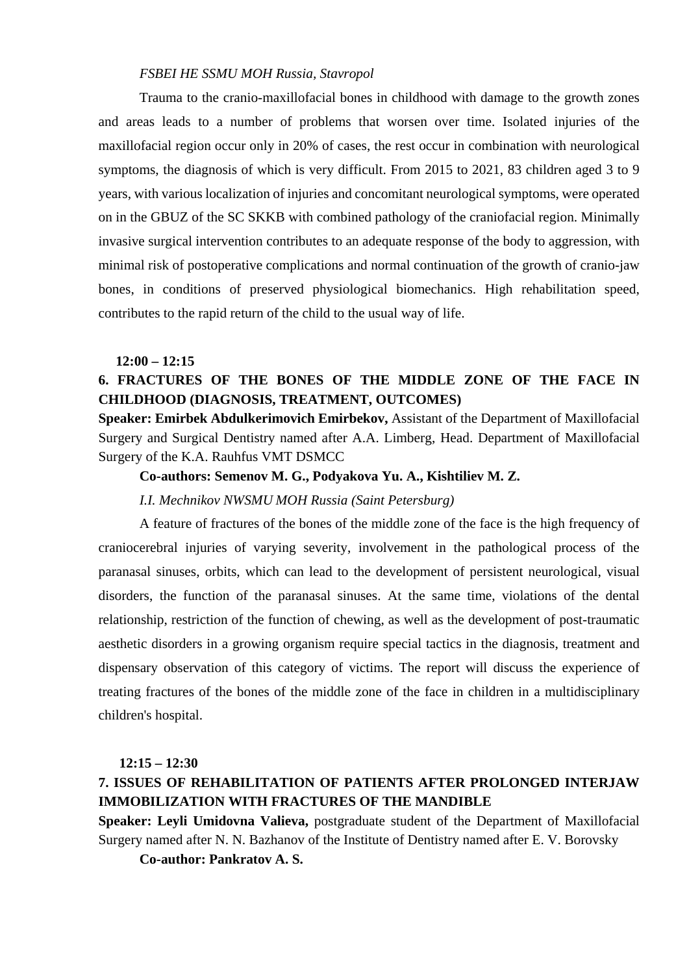#### *FSBEI HE SSMU MOH Russia, Stavropol*

Trauma to the cranio-maxillofacial bones in childhood with damage to the growth zones and areas leads to a number of problems that worsen over time. Isolated injuries of the maxillofacial region occur only in 20% of cases, the rest occur in combination with neurological symptoms, the diagnosis of which is very difficult. From 2015 to 2021, 83 children aged 3 to 9 years, with various localization of injuries and concomitant neurological symptoms, were operated on in the GBUZ of the SC SKKB with combined pathology of the craniofacial region. Minimally invasive surgical intervention contributes to an adequate response of the body to aggression, with minimal risk of postoperative complications and normal continuation of the growth of cranio-jaw bones, in conditions of preserved physiological biomechanics. High rehabilitation speed, contributes to the rapid return of the child to the usual way of life.

#### **12:00 – 12:15**

### **6. FRACTURES OF THE BONES OF THE MIDDLE ZONE OF THE FACE IN CHILDHOOD (DIAGNOSIS, TREATMENT, OUTCOMES)**

**Speaker: Emirbek Abdulkerimovich Emirbekov,** Assistant of the Department of Maxillofacial Surgery and Surgical Dentistry named after A.A. Limberg, Head. Department of Maxillofacial Surgery of the K.A. Rauhfus VMT DSMCC

#### **Co-authors: Semenov M. G., Podyakova Yu. A., Kishtiliev M. Z.**

#### *I.I. Mechnikov NWSMU MOH Russia (Saint Petersburg)*

A feature of fractures of the bones of the middle zone of the face is the high frequency of craniocerebral injuries of varying severity, involvement in the pathological process of the paranasal sinuses, orbits, which can lead to the development of persistent neurological, visual disorders, the function of the paranasal sinuses. At the same time, violations of the dental relationship, restriction of the function of chewing, as well as the development of post-traumatic aesthetic disorders in a growing organism require special tactics in the diagnosis, treatment and dispensary observation of this category of victims. The report will discuss the experience of treating fractures of the bones of the middle zone of the face in children in a multidisciplinary children's hospital.

#### **12:15 – 12:30**

### **7. ISSUES OF REHABILITATION OF PATIENTS AFTER PROLONGED INTERJAW IMMOBILIZATION WITH FRACTURES OF THE MANDIBLE**

**Speaker: Leyli Umidovna Valieva,** postgraduate student of the Department of Maxillofacial Surgery named after N. N. Bazhanov of the Institute of Dentistry named after E. V. Borovsky

**Co-author: Pankratov A. S.**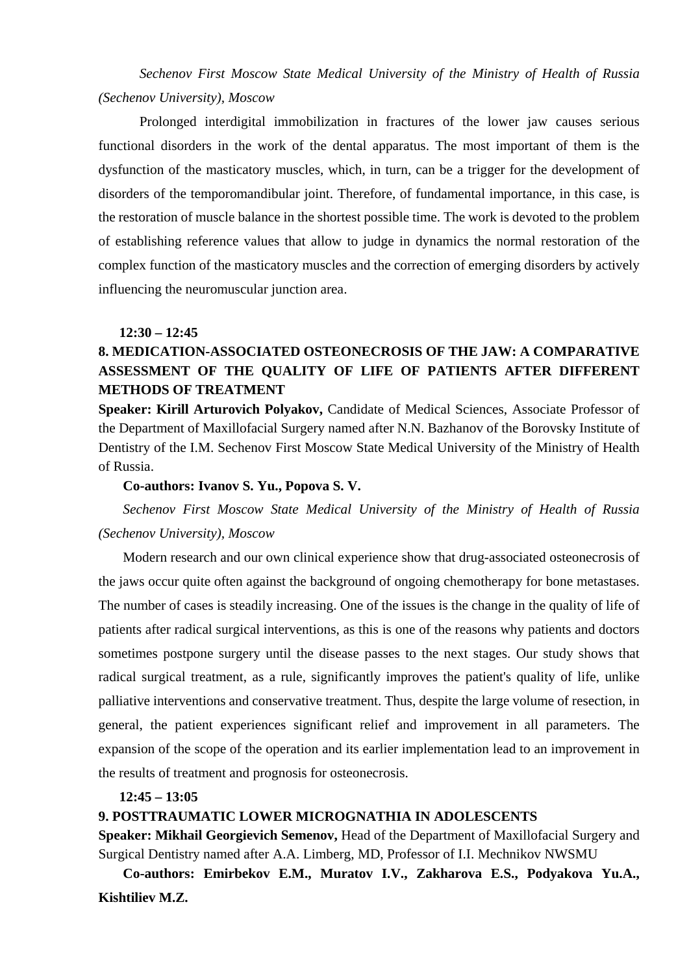*Sechenov First Moscow State Medical University of the Ministry of Health of Russia (Sechenov University), Moscow*

Prolonged interdigital immobilization in fractures of the lower jaw causes serious functional disorders in the work of the dental apparatus. The most important of them is the dysfunction of the masticatory muscles, which, in turn, can be a trigger for the development of disorders of the temporomandibular joint. Therefore, of fundamental importance, in this case, is the restoration of muscle balance in the shortest possible time. The work is devoted to the problem of establishing reference values that allow to judge in dynamics the normal restoration of the complex function of the masticatory muscles and the correction of emerging disorders by actively influencing the neuromuscular junction area.

#### **12:30 – 12:45**

### **8. MEDICATION-ASSOCIATED OSTEONECROSIS OF THE JAW: A COMPARATIVE ASSESSMENT OF THE QUALITY OF LIFE OF PATIENTS AFTER DIFFERENT METHODS OF TREATMENT**

**Speaker: Kirill Arturovich Polyakov,** Candidate of Medical Sciences, Associate Professor of the Department of Maxillofacial Surgery named after N.N. Bazhanov of the Borovsky Institute of Dentistry of the I.M. Sechenov First Moscow State Medical University of the Ministry of Health of Russia.

#### **Co-authors: Ivanov S. Yu., Popova S. V.**

*Sechenov First Moscow State Medical University of the Ministry of Health of Russia (Sechenov University), Moscow*

Modern research and our own clinical experience show that drug-associated osteonecrosis of the jaws occur quite often against the background of ongoing chemotherapy for bone metastases. The number of cases is steadily increasing. One of the issues is the change in the quality of life of patients after radical surgical interventions, as this is one of the reasons why patients and doctors sometimes postpone surgery until the disease passes to the next stages. Our study shows that radical surgical treatment, as a rule, significantly improves the patient's quality of life, unlike palliative interventions and conservative treatment. Thus, despite the large volume of resection, in general, the patient experiences significant relief and improvement in all parameters. The expansion of the scope of the operation and its earlier implementation lead to an improvement in the results of treatment and prognosis for osteonecrosis.

#### **12:45 – 13:05**

#### **9. POSTTRAUMATIC LOWER MICROGNATHIA IN ADOLESCENTS**

**Speaker: Mikhail Georgievich Semenov,** Head of the Department of Maxillofacial Surgery and Surgical Dentistry named after A.A. Limberg, MD, Professor of I.I. Mechnikov NWSMU

**Co-authors: Emirbekov E.M., Muratov I.V., Zakharova E.S., Podyakova Yu.A., Kishtiliev M.Z.**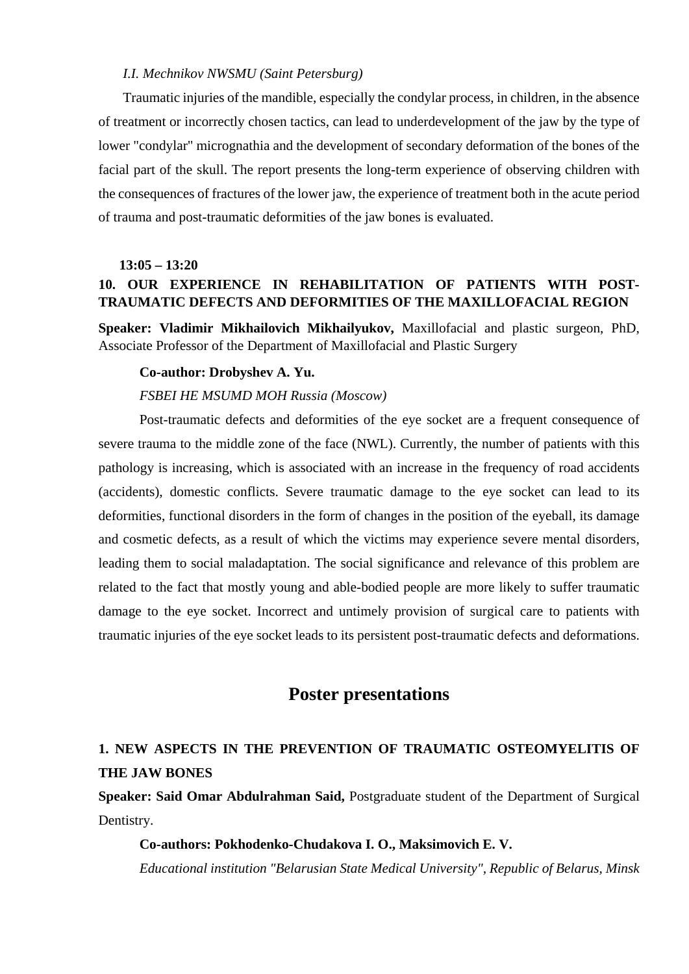#### *I.I. Mechnikov NWSMU (Saint Petersburg)*

Traumatic injuries of the mandible, especially the condylar process, in children, in the absence of treatment or incorrectly chosen tactics, can lead to underdevelopment of the jaw by the type of lower "condylar" micrognathia and the development of secondary deformation of the bones of the facial part of the skull. The report presents the long-term experience of observing children with the consequences of fractures of the lower jaw, the experience of treatment both in the acute period of trauma and post-traumatic deformities of the jaw bones is evaluated.

#### **13:05 – 13:20**

### **10. OUR EXPERIENCE IN REHABILITATION OF PATIENTS WITH POST-TRAUMATIC DEFECTS AND DEFORMITIES OF THE MAXILLOFACIAL REGION**

**Speaker: Vladimir Mikhailovich Mikhailyukov,** Maxillofacial and plastic surgeon, PhD, Associate Professor of the Department of Maxillofacial and Plastic Surgery

#### **Co-author: Drobyshev A. Yu.**

#### *FSBEI HE MSUMD MOH Russia (Moscow)*

Post-traumatic defects and deformities of the eye socket are a frequent consequence of severe trauma to the middle zone of the face (NWL). Currently, the number of patients with this pathology is increasing, which is associated with an increase in the frequency of road accidents (accidents), domestic conflicts. Severe traumatic damage to the eye socket can lead to its deformities, functional disorders in the form of changes in the position of the eyeball, its damage and cosmetic defects, as a result of which the victims may experience severe mental disorders, leading them to social maladaptation. The social significance and relevance of this problem are related to the fact that mostly young and able-bodied people are more likely to suffer traumatic damage to the eye socket. Incorrect and untimely provision of surgical care to patients with traumatic injuries of the eye socket leads to its persistent post-traumatic defects and deformations.

# **Poster presentations**

# **1. NEW ASPECTS IN THE PREVENTION OF TRAUMATIC OSTEOMYELITIS OF THE JAW BONES**

**Speaker: Said Omar Abdulrahman Said,** Postgraduate student of the Department of Surgical Dentistry.

#### **Co-authors: Pokhodenko-Chudakova I. O., Maksimovich E. V.**

*Educational institution "Belarusian State Medical University", Republic of Belarus, Minsk*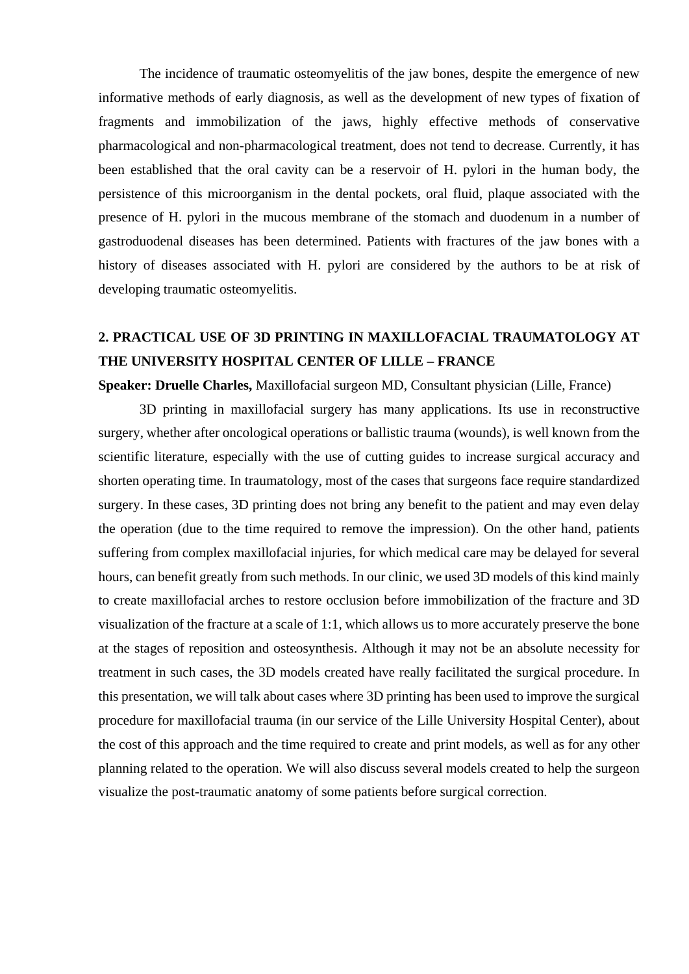The incidence of traumatic osteomyelitis of the jaw bones, despite the emergence of new informative methods of early diagnosis, as well as the development of new types of fixation of fragments and immobilization of the jaws, highly effective methods of conservative pharmacological and non-pharmacological treatment, does not tend to decrease. Currently, it has been established that the oral cavity can be a reservoir of H. pylori in the human body, the persistence of this microorganism in the dental pockets, oral fluid, plaque associated with the presence of H. pylori in the mucous membrane of the stomach and duodenum in a number of gastroduodenal diseases has been determined. Patients with fractures of the jaw bones with a history of diseases associated with H. pylori are considered by the authors to be at risk of developing traumatic osteomyelitis.

# **2. PRACTICAL USE OF 3D PRINTING IN MAXILLOFACIAL TRAUMATOLOGY AT THE UNIVERSITY HOSPITAL CENTER OF LILLE – FRANCE**

**Speaker: Druelle Charles,** Maxillofacial surgeon MD, Consultant physician (Lille, France)

3D printing in maxillofacial surgery has many applications. Its use in reconstructive surgery, whether after oncological operations or ballistic trauma (wounds), is well known from the scientific literature, especially with the use of cutting guides to increase surgical accuracy and shorten operating time. In traumatology, most of the cases that surgeons face require standardized surgery. In these cases, 3D printing does not bring any benefit to the patient and may even delay the operation (due to the time required to remove the impression). On the other hand, patients suffering from complex maxillofacial injuries, for which medical care may be delayed for several hours, can benefit greatly from such methods. In our clinic, we used 3D models of this kind mainly to create maxillofacial arches to restore occlusion before immobilization of the fracture and 3D visualization of the fracture at a scale of 1:1, which allows us to more accurately preserve the bone at the stages of reposition and osteosynthesis. Although it may not be an absolute necessity for treatment in such cases, the 3D models created have really facilitated the surgical procedure. In this presentation, we will talk about cases where 3D printing has been used to improve the surgical procedure for maxillofacial trauma (in our service of the Lille University Hospital Center), about the cost of this approach and the time required to create and print models, as well as for any other planning related to the operation. We will also discuss several models created to help the surgeon visualize the post-traumatic anatomy of some patients before surgical correction.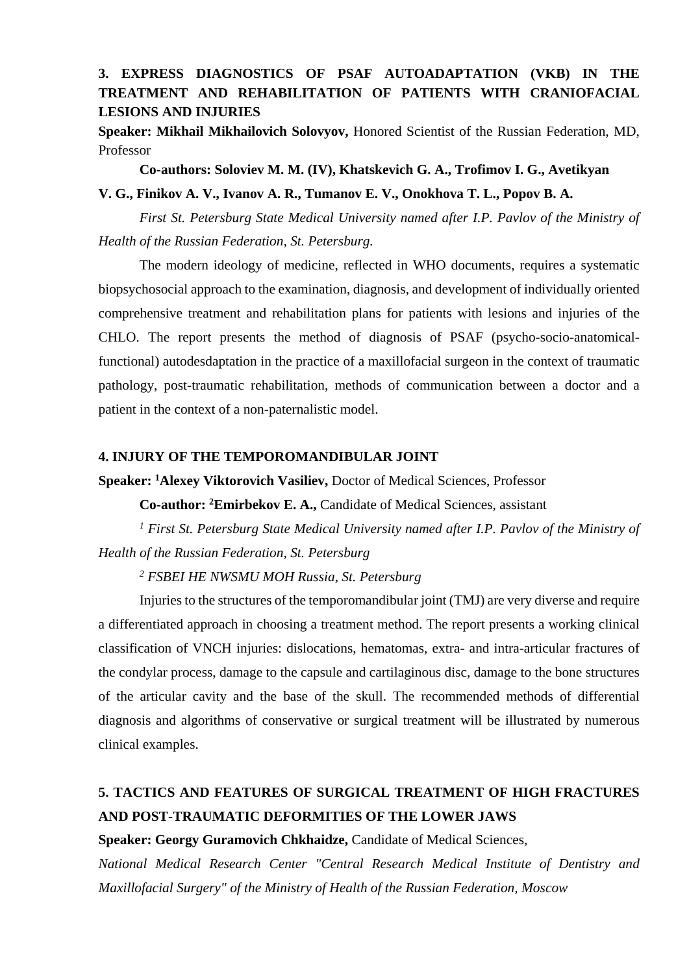### **3. EXPRESS DIAGNOSTICS OF PSAF AUTOADAPTATION (VKB) IN THE TREATMENT AND REHABILITATION OF PATIENTS WITH CRANIOFACIAL LESIONS AND INJURIES**

**Speaker: Mikhail Mikhailovich Solovyov,** Honored Scientist of the Russian Federation, MD, Professor

**Co-authors: Soloviev M. M. (IV), Khatskevich G. A., Trofimov I. G., Avetikyan** 

**V. G., Finikov A. V., Ivanov A. R., Tumanov E. V., Onokhova T. L., Popov B. A.**

*First St. Petersburg State Medical University named after I.P. Pavlov of the Ministry of Health of the Russian Federation, St. Petersburg.*

The modern ideology of medicine, reflected in WHO documents, requires a systematic biopsychosocial approach to the examination, diagnosis, and development of individually oriented comprehensive treatment and rehabilitation plans for patients with lesions and injuries of the CHLO. The report presents the method of diagnosis of PSAF (psycho-socio-anatomicalfunctional) autodesdaptation in the practice of a maxillofacial surgeon in the context of traumatic pathology, post-traumatic rehabilitation, methods of communication between a doctor and a patient in the context of a non-paternalistic model.

#### **4. INJURY OF THE TEMPOROMANDIBULAR JOINT**

**Speaker: 1 Alexey Viktorovich Vasiliev,** Doctor of Medical Sciences, Professor

**Co-author: 2Emirbekov E. A.,** Candidate of Medical Sciences, assistant

*<sup>1</sup> First St. Petersburg State Medical University named after I.P. Pavlov of the Ministry of Health of the Russian Federation, St. Petersburg*

*<sup>2</sup> FSBEI HE NWSMU MOH Russia, St. Petersburg*

Injuries to the structures of the temporomandibular joint (TMJ) are very diverse and require a differentiated approach in choosing a treatment method. The report presents a working clinical classification of VNCH injuries: dislocations, hematomas, extra- and intra-articular fractures of the condylar process, damage to the capsule and cartilaginous disc, damage to the bone structures of the articular cavity and the base of the skull. The recommended methods of differential diagnosis and algorithms of conservative or surgical treatment will be illustrated by numerous clinical examples.

# **5. TACTICS AND FEATURES OF SURGICAL TREATMENT OF HIGH FRACTURES AND POST-TRAUMATIC DEFORMITIES OF THE LOWER JAWS**

**Speaker: Georgy Guramovich Chkhaidze,** Candidate of Medical Sciences,

*National Medical Research Center "Central Research Medical Institute of Dentistry and Maxillofacial Surgery" of the Ministry of Health of the Russian Federation, Moscow*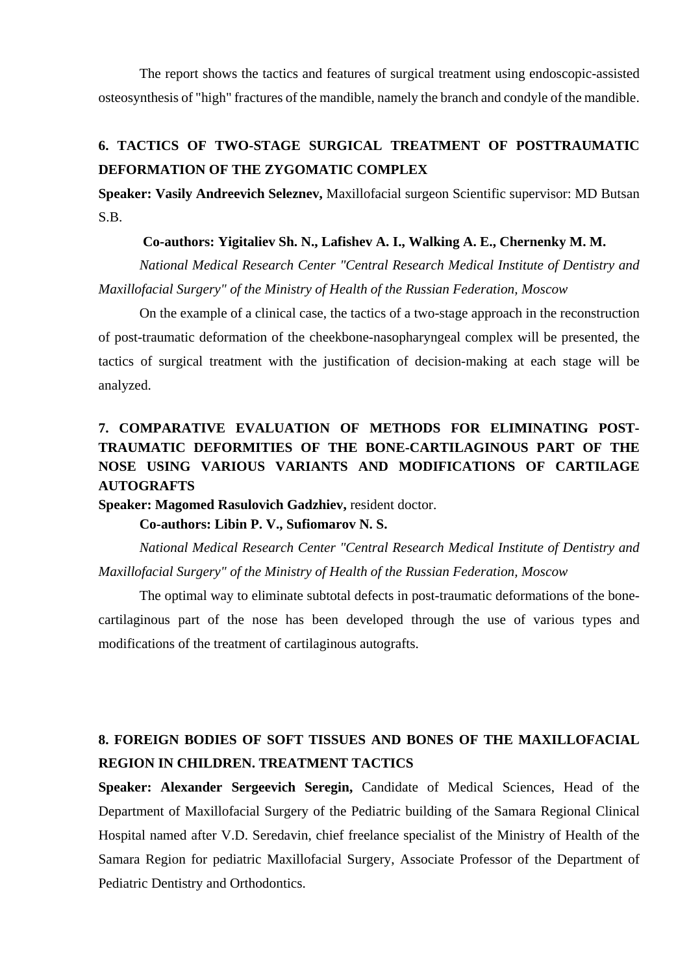The report shows the tactics and features of surgical treatment using endoscopic-assisted osteosynthesis of "high" fractures of the mandible, namely the branch and condyle of the mandible.

# **6. TACTICS OF TWO-STAGE SURGICAL TREATMENT OF POSTTRAUMATIC DEFORMATION OF THE ZYGOMATIC COMPLEX**

**Speaker: Vasily Andreevich Seleznev,** Maxillofacial surgeon Scientific supervisor: MD Butsan S.B.

#### **Co-authors: Yigitaliev Sh. N., Lafishev A. I., Walking A. E., Chernenky M. M.**

*National Medical Research Center "Central Research Medical Institute of Dentistry and Maxillofacial Surgery" of the Ministry of Health of the Russian Federation, Moscow*

On the example of a clinical case, the tactics of a two-stage approach in the reconstruction of post-traumatic deformation of the cheekbone-nasopharyngeal complex will be presented, the tactics of surgical treatment with the justification of decision-making at each stage will be analyzed.

# **7. COMPARATIVE EVALUATION OF METHODS FOR ELIMINATING POST-TRAUMATIC DEFORMITIES OF THE BONE-CARTILAGINOUS PART OF THE NOSE USING VARIOUS VARIANTS AND MODIFICATIONS OF CARTILAGE AUTOGRAFTS**

**Speaker: Magomed Rasulovich Gadzhiev,** resident doctor.

#### **Co-authors: Libin P. V., Sufiomarov N. S.**

*National Medical Research Center "Central Research Medical Institute of Dentistry and Maxillofacial Surgery" of the Ministry of Health of the Russian Federation, Moscow*

The optimal way to eliminate subtotal defects in post-traumatic deformations of the bonecartilaginous part of the nose has been developed through the use of various types and modifications of the treatment of cartilaginous autografts.

# **8. FOREIGN BODIES OF SOFT TISSUES AND BONES OF THE MAXILLOFACIAL REGION IN CHILDREN. TREATMENT TACTICS**

**Speaker: Alexander Sergeevich Seregin,** Candidate of Medical Sciences, Head of the Department of Maxillofacial Surgery of the Pediatric building of the Samara Regional Clinical Hospital named after V.D. Seredavin, chief freelance specialist of the Ministry of Health of the Samara Region for pediatric Maxillofacial Surgery, Associate Professor of the Department of Pediatric Dentistry and Orthodontics.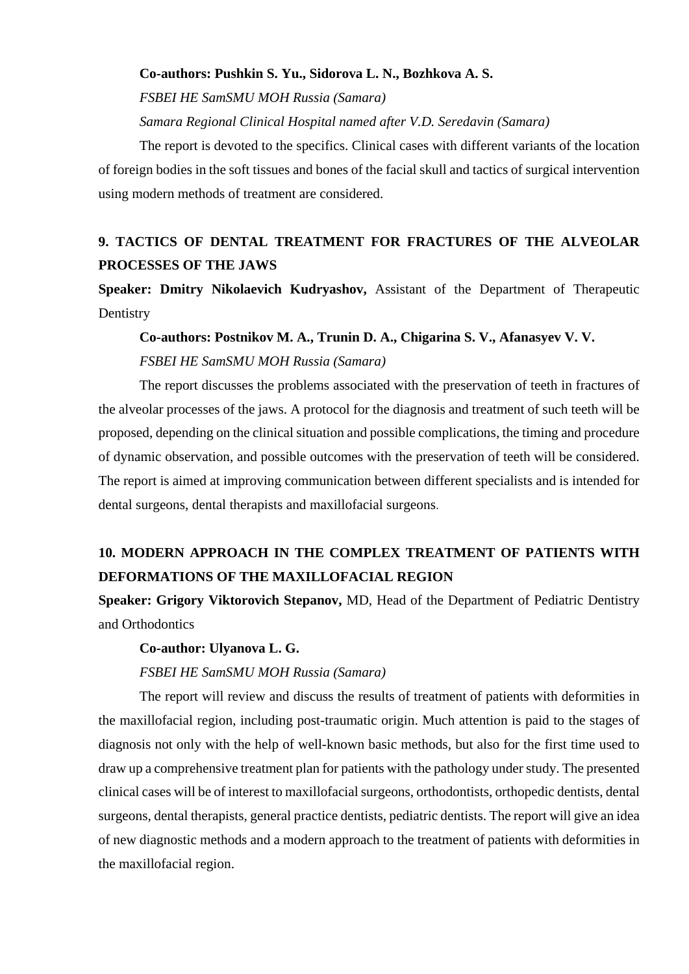#### **Co-authors: Pushkin S. Yu., Sidorova L. N., Bozhkova A. S.**

*FSBEI HE SamSMU MOH Russia (Samara)*

*Samara Regional Clinical Hospital named after V.D. Seredavin (Samara)* 

The report is devoted to the specifics. Clinical cases with different variants of the location of foreign bodies in the soft tissues and bones of the facial skull and tactics of surgical intervention using modern methods of treatment are considered.

# **9. TACTICS OF DENTAL TREATMENT FOR FRACTURES OF THE ALVEOLAR PROCESSES OF THE JAWS**

**Speaker: Dmitry Nikolaevich Kudryashov,** Assistant of the Department of Therapeutic **Dentistry** 

# **Co-authors: Postnikov M. A., Trunin D. A., Chigarina S. V., Afanasyev V. V.**  *FSBEI HE SamSMU MOH Russia (Samara)*

The report discusses the problems associated with the preservation of teeth in fractures of the alveolar processes of the jaws. A protocol for the diagnosis and treatment of such teeth will be proposed, depending on the clinical situation and possible complications, the timing and procedure of dynamic observation, and possible outcomes with the preservation of teeth will be considered. The report is aimed at improving communication between different specialists and is intended for dental surgeons, dental therapists and maxillofacial surgeons.

# **10. MODERN APPROACH IN THE COMPLEX TREATMENT OF PATIENTS WITH DEFORMATIONS OF THE MAXILLOFACIAL REGION**

**Speaker: Grigory Viktorovich Stepanov,** MD, Head of the Department of Pediatric Dentistry and Orthodontics

#### **Co-author: Ulyanova L. G.**

#### *FSBEI HE SamSMU MOH Russia (Samara)*

The report will review and discuss the results of treatment of patients with deformities in the maxillofacial region, including post-traumatic origin. Much attention is paid to the stages of diagnosis not only with the help of well-known basic methods, but also for the first time used to draw up a comprehensive treatment plan for patients with the pathology under study. The presented clinical cases will be of interest to maxillofacial surgeons, orthodontists, orthopedic dentists, dental surgeons, dental therapists, general practice dentists, pediatric dentists. The report will give an idea of new diagnostic methods and a modern approach to the treatment of patients with deformities in the maxillofacial region.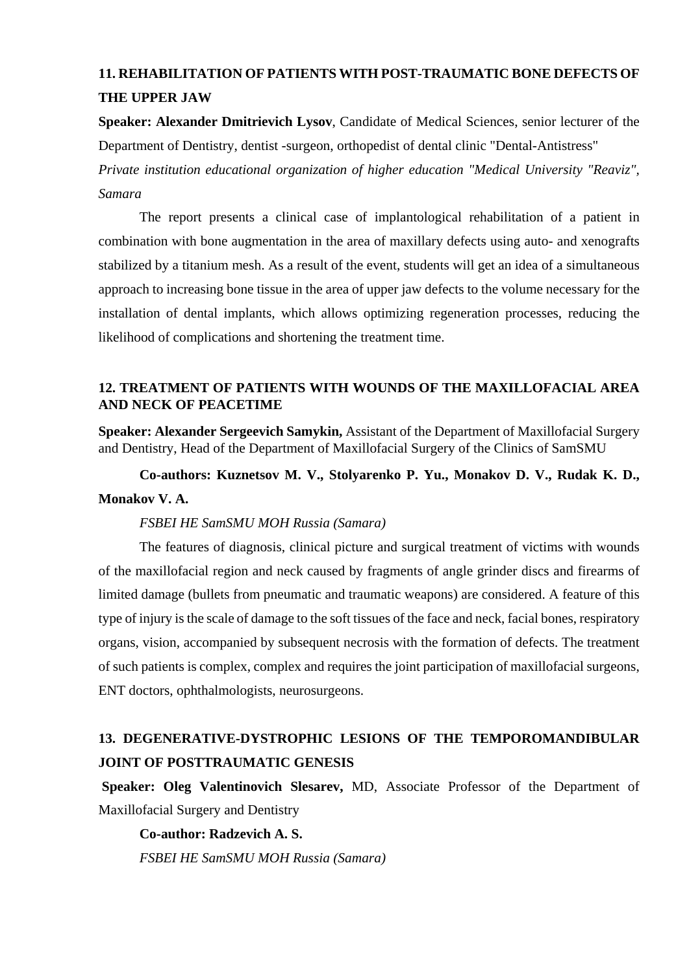# **11. REHABILITATION OF PATIENTS WITH POST-TRAUMATIC BONE DEFECTS OF THE UPPER JAW**

**Speaker: Alexander Dmitrievich Lysov**, Candidate of Medical Sciences, senior lecturer of the Department of Dentistry, dentist -surgeon, orthopedist of dental clinic "Dental-Antistress"

*Private institution educational organization of higher education "Medical University "Reaviz", Samara* 

The report presents a clinical case of implantological rehabilitation of a patient in combination with bone augmentation in the area of maxillary defects using auto- and xenografts stabilized by a titanium mesh. As a result of the event, students will get an idea of a simultaneous approach to increasing bone tissue in the area of upper jaw defects to the volume necessary for the installation of dental implants, which allows optimizing regeneration processes, reducing the likelihood of complications and shortening the treatment time.

### **12. TREATMENT OF PATIENTS WITH WOUNDS OF THE MAXILLOFACIAL AREA AND NECK OF PEACETIME**

**Speaker: Alexander Sergeevich Samykin,** Assistant of the Department of Maxillofacial Surgery and Dentistry, Head of the Department of Maxillofacial Surgery of the Clinics of SamSMU

**Co-authors: Kuznetsov M. V., Stolyarenko P. Yu., Monakov D. V., Rudak K. D., Monakov V. A.**

#### *FSBEI HE SamSMU MOH Russia (Samara)*

The features of diagnosis, clinical picture and surgical treatment of victims with wounds of the maxillofacial region and neck caused by fragments of angle grinder discs and firearms of limited damage (bullets from pneumatic and traumatic weapons) are considered. A feature of this type of injury is the scale of damage to the soft tissues of the face and neck, facial bones, respiratory organs, vision, accompanied by subsequent necrosis with the formation of defects. The treatment of such patients is complex, complex and requires the joint participation of maxillofacial surgeons, ENT doctors, ophthalmologists, neurosurgeons.

# **13. DEGENERATIVE-DYSTROPHIC LESIONS OF THE TEMPOROMANDIBULAR JOINT OF POSTTRAUMATIC GENESIS**

**Speaker: Oleg Valentinovich Slesarev,** MD, Associate Professor of the Department of Maxillofacial Surgery and Dentistry

**Co-author: Radzevich A. S.** *FSBEI HE SamSMU MOH Russia (Samara)*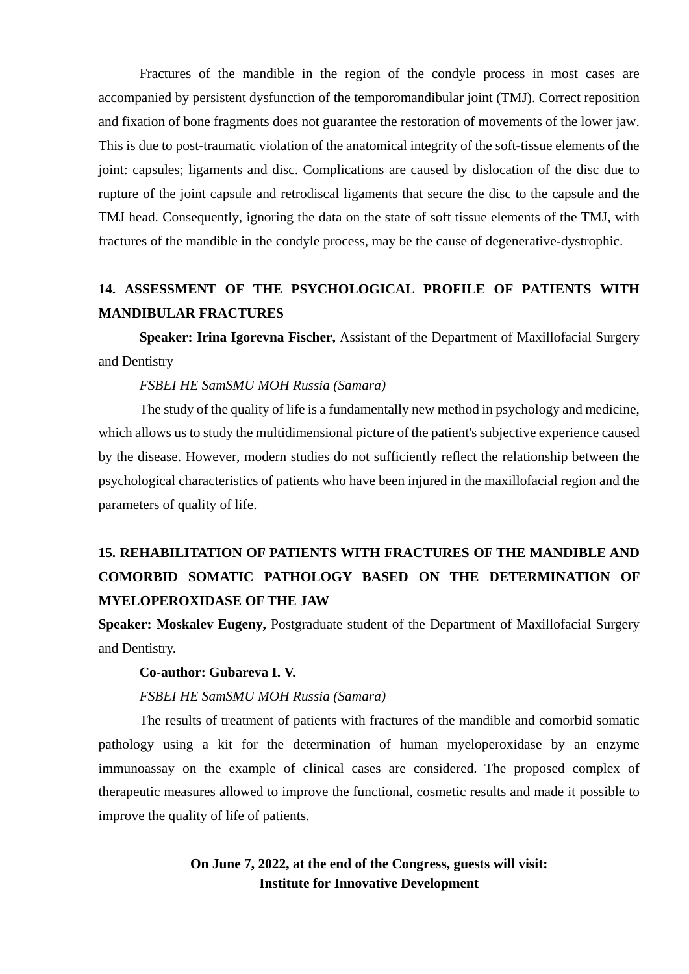Fractures of the mandible in the region of the condyle process in most cases are accompanied by persistent dysfunction of the temporomandibular joint (TMJ). Correct reposition and fixation of bone fragments does not guarantee the restoration of movements of the lower jaw. This is due to post-traumatic violation of the anatomical integrity of the soft-tissue elements of the joint: capsules; ligaments and disc. Complications are caused by dislocation of the disc due to rupture of the joint capsule and retrodiscal ligaments that secure the disc to the capsule and the TMJ head. Consequently, ignoring the data on the state of soft tissue elements of the TMJ, with fractures of the mandible in the condyle process, may be the cause of degenerative-dystrophic.

# **14. ASSESSMENT OF THE PSYCHOLOGICAL PROFILE OF PATIENTS WITH MANDIBULAR FRACTURES**

**Speaker: Irina Igorevna Fischer,** Assistant of the Department of Maxillofacial Surgery and Dentistry

#### *FSBEI HE SamSMU MOH Russia (Samara)*

The study of the quality of life is a fundamentally new method in psychology and medicine, which allows us to study the multidimensional picture of the patient's subjective experience caused by the disease. However, modern studies do not sufficiently reflect the relationship between the psychological characteristics of patients who have been injured in the maxillofacial region and the parameters of quality of life.

# **15. REHABILITATION OF PATIENTS WITH FRACTURES OF THE MANDIBLE AND COMORBID SOMATIC PATHOLOGY BASED ON THE DETERMINATION OF MYELOPEROXIDASE OF THE JAW**

**Speaker: Moskalev Eugeny,** Postgraduate student of the Department of Maxillofacial Surgery and Dentistry.

#### **Co-author: Gubareva I. V.**

#### *FSBEI HE SamSMU MOH Russia (Samara)*

The results of treatment of patients with fractures of the mandible and comorbid somatic pathology using a kit for the determination of human myeloperoxidase by an enzyme immunoassay on the example of clinical cases are considered. The proposed complex of therapeutic measures allowed to improve the functional, cosmetic results and made it possible to improve the quality of life of patients.

### **On June 7, 2022, at the end of the Congress, guests will visit: Institute for Innovative Development**